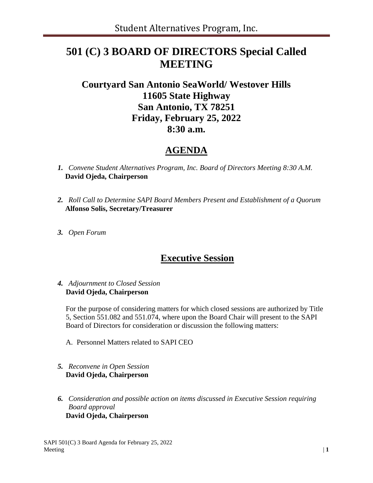# **501 (C) 3 BOARD OF DIRECTORS Special Called MEETING**

## **Courtyard San Antonio SeaWorld/ Westover Hills 11605 State Highway San Antonio, TX 78251 Friday, February 25, 2022 8:30 a.m.**

#### **AGENDA**

- *1. Convene Student Alternatives Program, Inc. Board of Directors Meeting 8:30 A.M.* **David Ojeda, Chairperson**
- *2. Roll Call to Determine SAPI Board Members Present and Establishment of a Quorum*  **Alfonso Solis, Secretary/Treasurer**
- *3. Open Forum*

### **Executive Session**

#### *4. Adjournment to Closed Session* **David Ojeda, Chairperson**

For the purpose of considering matters for which closed sessions are authorized by Title 5, Section 551.082 and 551.074, where upon the Board Chair will present to the SAPI Board of Directors for consideration or discussion the following matters:

- A. Personnel Matters related to SAPI CEO
- *5. Reconvene in Open Session* **David Ojeda, Chairperson**
- *6. Consideration and possible action on items discussed in Executive Session requiring Board approval* **David Ojeda, Chairperson**